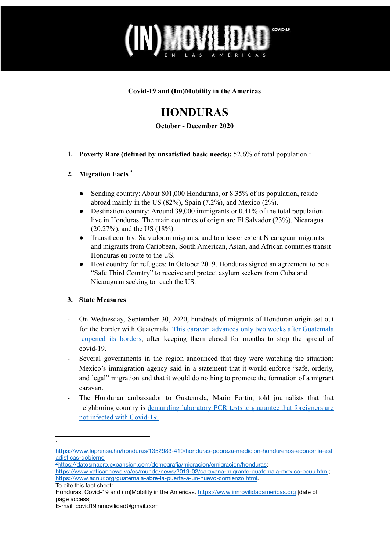

**Covid-19 and (Im)Mobility in the Americas**

# **HONDURAS**

**October - December 2020**

**1. Poverty Rate (defined by unsatisfied basic needs):** 52.6% of total population. 1

### **2. Migration Facts 2**

- Sending country: About 801,000 Hondurans, or 8.35% of its population, reside abroad mainly in the US (82%), Spain (7.2%), and Mexico (2%).
- Destination country: Around 39,000 immigrants or 0.41% of the total population live in Honduras. The main countries of origin are El Salvador (23%), Nicaragua (20.27%), and the US (18%).
- Transit country: Salvadoran migrants, and to a lesser extent Nicaraguan migrants and migrants from Caribbean, South American, Asian, and African countries transit Honduras en route to the US.
- Host country for refugees: In October 2019, Honduras signed an agreement to be a "Safe Third Country" to receive and protect asylum seekers from Cuba and Nicaraguan seeking to reach the US.

## **3. State Measures**

- On Wednesday, September 30, 2020, hundreds of migrants of Honduran origin set out for the border with Guatemala. This caravan advances only two weeks after [Guatemala](https://www.dw.com/es/honduras-nueva-caravana-de-migrantes-sale-en-plena-pandemia/a-55113872#:~:text=Honduras%3A%20nueva%20caravana%20de%20migrantes%20sale%20en%20plena%20pandemia,-Las%20personas%20migrantes&text=Cientos%20de%20personas%20migrantes%20comenzaron,en%20tiempos%20del%20COVID%2D19.) [reopened](https://www.dw.com/es/honduras-nueva-caravana-de-migrantes-sale-en-plena-pandemia/a-55113872#:~:text=Honduras%3A%20nueva%20caravana%20de%20migrantes%20sale%20en%20plena%20pandemia,-Las%20personas%20migrantes&text=Cientos%20de%20personas%20migrantes%20comenzaron,en%20tiempos%20del%20COVID%2D19.) its borders, after keeping them closed for months to stop the spread of covid-19.
- Several governments in the region announced that they were watching the situation: Mexico's immigration agency said in a statement that it would enforce "safe, orderly, and legal" migration and that it would do nothing to promote the formation of a migrant caravan.
- The Honduran ambassador to Guatemala, Mario Fortín, told journalists that that neighboring country is [demanding](https://www.dw.com/es/honduras-nueva-caravana-de-migrantes-sale-en-plena-pandemia/a-55113872#:~:text=Honduras%3A%20nueva%20caravana%20de%20migrantes%20sale%20en%20plena%20pandemia,-Las%20personas%20migrantes&text=Cientos%20de%20personas%20migrantes%20comenzaron,en%20tiempos%20del%20COVID%2D19.) laboratory PCR tests to guarantee that foreigners are not infected with [Covid-19.](https://www.dw.com/es/honduras-nueva-caravana-de-migrantes-sale-en-plena-pandemia/a-55113872#:~:text=Honduras%3A%20nueva%20caravana%20de%20migrantes%20sale%20en%20plena%20pandemia,-Las%20personas%20migrantes&text=Cientos%20de%20personas%20migrantes%20comenzaron,en%20tiempos%20del%20COVID%2D19.)

1

[https://www.laprensa.hn/honduras/1352983-410/honduras-pobreza-medicion-hondurenos-economia-est](https://www.laprensa.hn/honduras/1352983-410/honduras-pobreza-medicion-hondurenos-economia-estadisticas-gobierno) [adisticas-gobierno](https://www.laprensa.hn/honduras/1352983-410/honduras-pobreza-medicion-hondurenos-economia-estadisticas-gobierno)

<sup>2</sup>[https://datosmacro.expansion.com/demografia/migracion/emigracion/honduras;](https://datosmacro.expansion.com/demografia/migracion/emigracion/honduras)

<https://www.vaticannews.va/es/mundo/news/2019-02/caravana-migrante-guatemala-mexico-eeuu.html>; <https://www.acnur.org/guatemala-abre-la-puerta-a-un-nuevo-comienzo.html>.

To cite this fact sheet:

Honduras. Covid-19 and (Im)Mobility in the Americas. <https://www.inmovilidadamericas.org> [date of page access]

E-mail: covid19inmovilidad@gmail.com